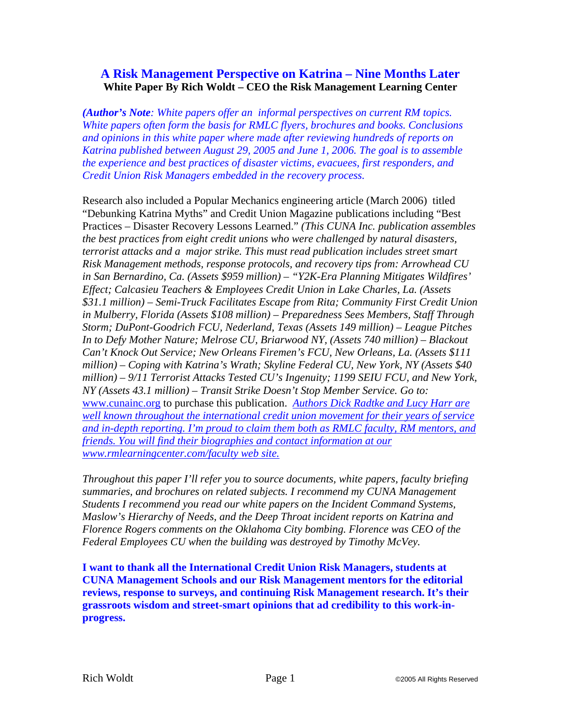# **A Risk Management Perspective on Katrina – Nine Months Later White Paper By Rich Woldt – CEO the Risk Management Learning Center**

*(Author's Note: White papers offer an informal perspectives on current RM topics. White papers often form the basis for RMLC flyers, brochures and books. Conclusions and opinions in this white paper where made after reviewing hundreds of reports on Katrina published between August 29, 2005 and June 1, 2006. The goal is to assemble the experience and best practices of disaster victims, evacuees, first responders, and Credit Union Risk Managers embedded in the recovery process.* 

Research also included a Popular Mechanics engineering article (March 2006) titled "Debunking Katrina Myths" and Credit Union Magazine publications including "Best Practices – Disaster Recovery Lessons Learned." *(This CUNA Inc. publication assembles the best practices from eight credit unions who were challenged by natural disasters, terrorist attacks and a major strike. This must read publication includes street smart Risk Management methods, response protocols, and recovery tips from: Arrowhead CU in San Bernardino, Ca. (Assets \$959 million) – "Y2K-Era Planning Mitigates Wildfires' Effect; Calcasieu Teachers & Employees Credit Union in Lake Charles, La. (Assets \$31.1 million) – Semi-Truck Facilitates Escape from Rita; Community First Credit Union in Mulberry, Florida (Assets \$108 million) – Preparedness Sees Members, Staff Through Storm; DuPont-Goodrich FCU, Nederland, Texas (Assets 149 million) – League Pitches In to Defy Mother Nature; Melrose CU, Briarwood NY, (Assets 740 million) – Blackout Can't Knock Out Service; New Orleans Firemen's FCU, New Orleans, La. (Assets \$111 million) – Coping with Katrina's Wrath; Skyline Federal CU, New York, NY (Assets \$40 million) – 9/11 Terrorist Attacks Tested CU's Ingenuity; 1199 SEIU FCU, and New York, NY (Assets 43.1 million) – Transit Strike Doesn't Stop Member Service. Go to:* www.cunainc.org to purchase this publication. *Authors Dick Radtke and Lucy Harr are well known throughout the international credit union movement for their years of service and in-depth reporting. I'm proud to claim them both as RMLC faculty, RM mentors, and friends. You will find their biographies and contact information at our www.rmlearningcenter.com/faculty web site.* 

*Throughout this paper I'll refer you to source documents, white papers, faculty briefing summaries, and brochures on related subjects. I recommend my CUNA Management Students I recommend you read our white papers on the Incident Command Systems, Maslow's Hierarchy of Needs, and the Deep Throat incident reports on Katrina and Florence Rogers comments on the Oklahoma City bombing. Florence was CEO of the Federal Employees CU when the building was destroyed by Timothy McVey.* 

**I want to thank all the International Credit Union Risk Managers, students at CUNA Management Schools and our Risk Management mentors for the editorial reviews, response to surveys, and continuing Risk Management research. It's their grassroots wisdom and street-smart opinions that ad credibility to this work-inprogress.**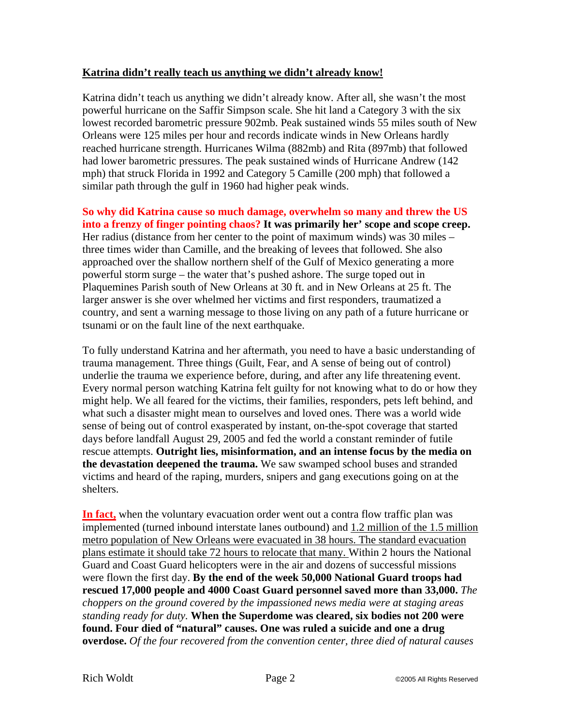#### **Katrina didn't really teach us anything we didn't already know!**

Katrina didn't teach us anything we didn't already know. After all, she wasn't the most powerful hurricane on the Saffir Simpson scale. She hit land a Category 3 with the six lowest recorded barometric pressure 902mb. Peak sustained winds 55 miles south of New Orleans were 125 miles per hour and records indicate winds in New Orleans hardly reached hurricane strength. Hurricanes Wilma (882mb) and Rita (897mb) that followed had lower barometric pressures. The peak sustained winds of Hurricane Andrew (142 mph) that struck Florida in 1992 and Category 5 Camille (200 mph) that followed a similar path through the gulf in 1960 had higher peak winds.

**So why did Katrina cause so much damage, overwhelm so many and threw the US into a frenzy of finger pointing chaos? It was primarily her' scope and scope creep.** Her radius (distance from her center to the point of maximum winds) was 30 miles – three times wider than Camille, and the breaking of levees that followed. She also approached over the shallow northern shelf of the Gulf of Mexico generating a more powerful storm surge – the water that's pushed ashore. The surge toped out in Plaquemines Parish south of New Orleans at 30 ft. and in New Orleans at 25 ft. The larger answer is she over whelmed her victims and first responders, traumatized a country, and sent a warning message to those living on any path of a future hurricane or tsunami or on the fault line of the next earthquake.

To fully understand Katrina and her aftermath, you need to have a basic understanding of trauma management. Three things (Guilt, Fear, and A sense of being out of control) underlie the trauma we experience before, during, and after any life threatening event. Every normal person watching Katrina felt guilty for not knowing what to do or how they might help. We all feared for the victims, their families, responders, pets left behind, and what such a disaster might mean to ourselves and loved ones. There was a world wide sense of being out of control exasperated by instant, on-the-spot coverage that started days before landfall August 29, 2005 and fed the world a constant reminder of futile rescue attempts. **Outright lies, misinformation, and an intense focus by the media on the devastation deepened the trauma.** We saw swamped school buses and stranded victims and heard of the raping, murders, snipers and gang executions going on at the shelters.

**In fact,** when the voluntary evacuation order went out a contra flow traffic plan was implemented (turned inbound interstate lanes outbound) and 1.2 million of the 1.5 million metro population of New Orleans were evacuated in 38 hours. The standard evacuation plans estimate it should take 72 hours to relocate that many. Within 2 hours the National Guard and Coast Guard helicopters were in the air and dozens of successful missions were flown the first day. **By the end of the week 50,000 National Guard troops had rescued 17,000 people and 4000 Coast Guard personnel saved more than 33,000.** *The choppers on the ground covered by the impassioned news media were at staging areas standing ready for duty.* **When the Superdome was cleared, six bodies not 200 were found. Four died of "natural" causes. One was ruled a suicide and one a drug overdose.** *Of the four recovered from the convention center, three died of natural causes*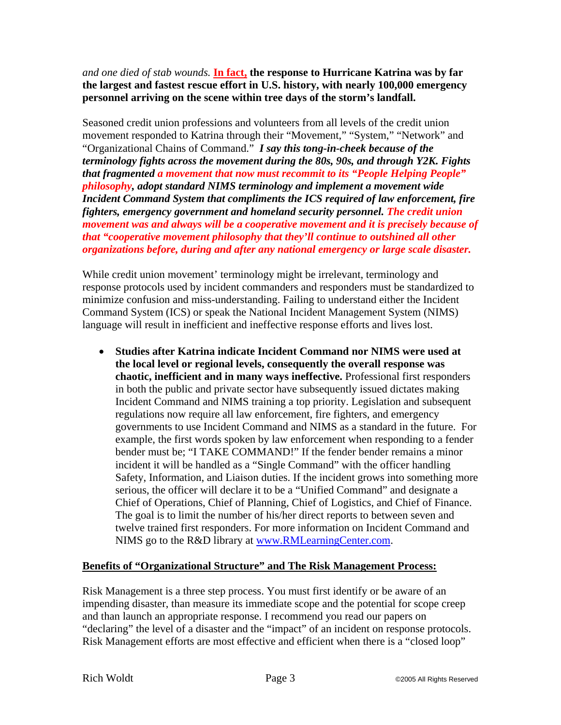*and one died of stab wounds.* **In fact, the response to Hurricane Katrina was by far the largest and fastest rescue effort in U.S. history, with nearly 100,000 emergency personnel arriving on the scene within tree days of the storm's landfall.** 

Seasoned credit union professions and volunteers from all levels of the credit union movement responded to Katrina through their "Movement," "System," "Network" and "Organizational Chains of Command." *I say this tong-in-cheek because of the terminology fights across the movement during the 80s, 90s, and through Y2K. Fights that fragmented a movement that now must recommit to its "People Helping People" philosophy, adopt standard NIMS terminology and implement a movement wide Incident Command System that compliments the ICS required of law enforcement, fire fighters, emergency government and homeland security personnel. The credit union movement was and always will be a cooperative movement and it is precisely because of that "cooperative movement philosophy that they'll continue to outshined all other organizations before, during and after any national emergency or large scale disaster.* 

While credit union movement' terminology might be irrelevant, terminology and response protocols used by incident commanders and responders must be standardized to minimize confusion and miss-understanding. Failing to understand either the Incident Command System (ICS) or speak the National Incident Management System (NIMS) language will result in inefficient and ineffective response efforts and lives lost.

• **Studies after Katrina indicate Incident Command nor NIMS were used at the local level or regional levels, consequently the overall response was chaotic, inefficient and in many ways ineffective.** Professional first responders in both the public and private sector have subsequently issued dictates making Incident Command and NIMS training a top priority. Legislation and subsequent regulations now require all law enforcement, fire fighters, and emergency governments to use Incident Command and NIMS as a standard in the future. For example, the first words spoken by law enforcement when responding to a fender bender must be; "I TAKE COMMAND!" If the fender bender remains a minor incident it will be handled as a "Single Command" with the officer handling Safety, Information, and Liaison duties. If the incident grows into something more serious, the officer will declare it to be a "Unified Command" and designate a Chief of Operations, Chief of Planning, Chief of Logistics, and Chief of Finance. The goal is to limit the number of his/her direct reports to between seven and twelve trained first responders. For more information on Incident Command and NIMS go to the R&D library at www.RMLearningCenter.com.

### **Benefits of "Organizational Structure" and The Risk Management Process:**

Risk Management is a three step process. You must first identify or be aware of an impending disaster, than measure its immediate scope and the potential for scope creep and than launch an appropriate response. I recommend you read our papers on "declaring" the level of a disaster and the "impact" of an incident on response protocols. Risk Management efforts are most effective and efficient when there is a "closed loop"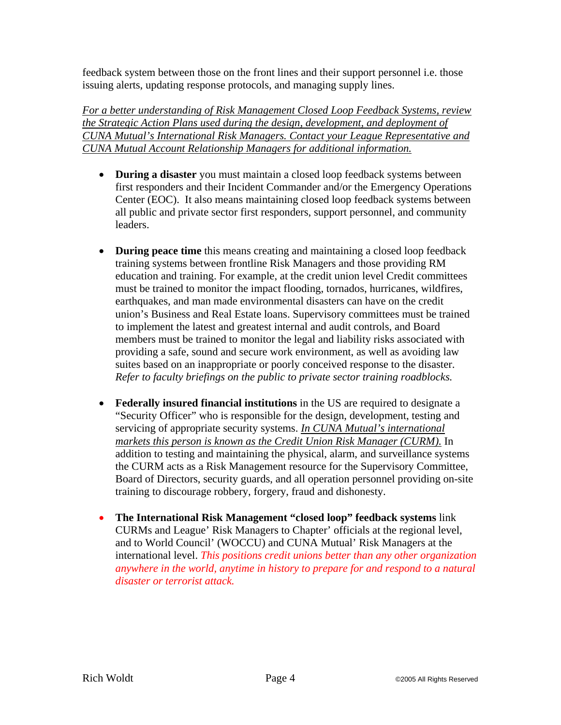feedback system between those on the front lines and their support personnel i.e. those issuing alerts, updating response protocols, and managing supply lines.

*For a better understanding of Risk Management Closed Loop Feedback Systems, review the Strategic Action Plans used during the design, development, and deployment of CUNA Mutual's International Risk Managers. Contact your League Representative and CUNA Mutual Account Relationship Managers for additional information.* 

- **During a disaster** you must maintain a closed loop feedback systems between first responders and their Incident Commander and/or the Emergency Operations Center (EOC). It also means maintaining closed loop feedback systems between all public and private sector first responders, support personnel, and community leaders.
- **During peace time** this means creating and maintaining a closed loop feedback training systems between frontline Risk Managers and those providing RM education and training. For example, at the credit union level Credit committees must be trained to monitor the impact flooding, tornados, hurricanes, wildfires, earthquakes, and man made environmental disasters can have on the credit union's Business and Real Estate loans. Supervisory committees must be trained to implement the latest and greatest internal and audit controls, and Board members must be trained to monitor the legal and liability risks associated with providing a safe, sound and secure work environment, as well as avoiding law suites based on an inappropriate or poorly conceived response to the disaster. *Refer to faculty briefings on the public to private sector training roadblocks.*
- **Federally insured financial institutions** in the US are required to designate a "Security Officer" who is responsible for the design, development, testing and servicing of appropriate security systems. *In CUNA Mutual's international markets this person is known as the Credit Union Risk Manager (CURM).* In addition to testing and maintaining the physical, alarm, and surveillance systems the CURM acts as a Risk Management resource for the Supervisory Committee, Board of Directors, security guards, and all operation personnel providing on-site training to discourage robbery, forgery, fraud and dishonesty.
- **The International Risk Management "closed loop" feedback systems** link CURMs and League' Risk Managers to Chapter' officials at the regional level, and to World Council' (WOCCU) and CUNA Mutual' Risk Managers at the international level. *This positions credit unions better than any other organization anywhere in the world, anytime in history to prepare for and respond to a natural disaster or terrorist attack.*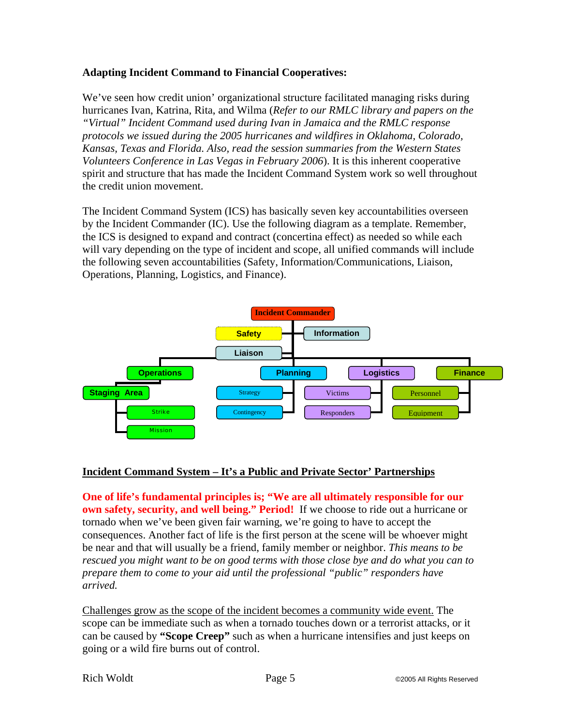### **Adapting Incident Command to Financial Cooperatives:**

We've seen how credit union' organizational structure facilitated managing risks during hurricanes Ivan, Katrina, Rita, and Wilma (*Refer to our RMLC library and papers on the "Virtual" Incident Command used during Ivan in Jamaica and the RMLC response protocols we issued during the 2005 hurricanes and wildfires in Oklahoma, Colorado, Kansas, Texas and Florida. Also, read the session summaries from the Western States Volunteers Conference in Las Vegas in February 2006*). It is this inherent cooperative spirit and structure that has made the Incident Command System work so well throughout the credit union movement.

The Incident Command System (ICS) has basically seven key accountabilities overseen by the Incident Commander (IC). Use the following diagram as a template. Remember, the ICS is designed to expand and contract (concertina effect) as needed so while each will vary depending on the type of incident and scope, all unified commands will include the following seven accountabilities (Safety, Information/Communications, Liaison, Operations, Planning, Logistics, and Finance).



### **Incident Command System – It's a Public and Private Sector' Partnerships**

**One of life's fundamental principles is; "We are all ultimately responsible for our own safety, security, and well being." Period!** If we choose to ride out a hurricane or tornado when we've been given fair warning, we're going to have to accept the consequences. Another fact of life is the first person at the scene will be whoever might be near and that will usually be a friend, family member or neighbor. *This means to be rescued you might want to be on good terms with those close bye and do what you can to prepare them to come to your aid until the professional "public" responders have arrived.* 

Challenges grow as the scope of the incident becomes a community wide event. The scope can be immediate such as when a tornado touches down or a terrorist attacks, or it can be caused by **"Scope Creep"** such as when a hurricane intensifies and just keeps on going or a wild fire burns out of control.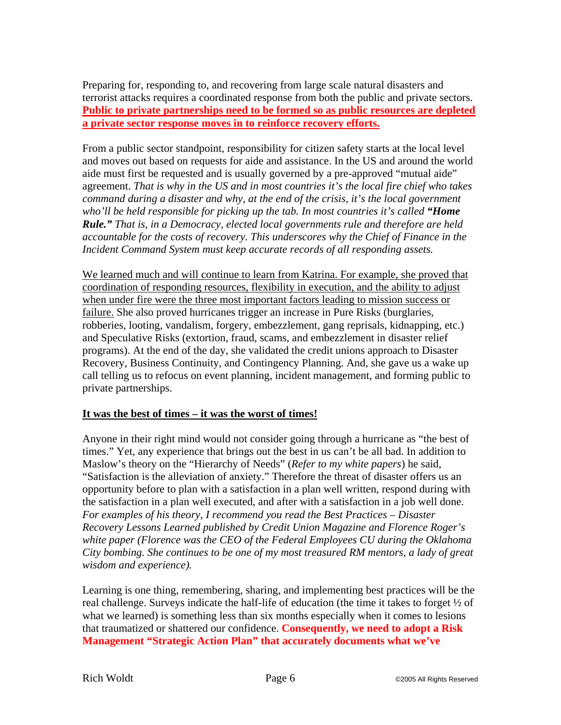Preparing for, responding to, and recovering from large scale natural disasters and terrorist attacks requires a coordinated response from both the public and private sectors. **Public to private partnerships need to be formed so as public resources are depleted a private sector response moves in to reinforce recovery efforts.**

From a public sector standpoint, responsibility for citizen safety starts at the local level and moves out based on requests for aide and assistance. In the US and around the world aide must first be requested and is usually governed by a pre-approved "mutual aide" agreement. *That is why in the US and in most countries it's the local fire chief who takes command during a disaster and why, at the end of the crisis, it's the local government who'll be held responsible for picking up the tab. In most countries it's called "Home Rule." That is, in a Democracy, elected local governments rule and therefore are held accountable for the costs of recovery. This underscores why the Chief of Finance in the Incident Command System must keep accurate records of all responding assets.* 

We learned much and will continue to learn from Katrina. For example, she proved that coordination of responding resources, flexibility in execution, and the ability to adjust when under fire were the three most important factors leading to mission success or failure. She also proved hurricanes trigger an increase in Pure Risks (burglaries, robberies, looting, vandalism, forgery, embezzlement, gang reprisals, kidnapping, etc.) and Speculative Risks (extortion, fraud, scams, and embezzlement in disaster relief programs). At the end of the day, she validated the credit unions approach to Disaster Recovery, Business Continuity, and Contingency Planning. And, she gave us a wake up call telling us to refocus on event planning, incident management, and forming public to private partnerships.

### **It was the best of times – it was the worst of times!**

Anyone in their right mind would not consider going through a hurricane as "the best of times." Yet, any experience that brings out the best in us can't be all bad. In addition to Maslow's theory on the "Hierarchy of Needs" (*Refer to my white papers*) he said, "Satisfaction is the alleviation of anxiety." Therefore the threat of disaster offers us an opportunity before to plan with a satisfaction in a plan well written, respond during with the satisfaction in a plan well executed, and after with a satisfaction in a job well done. *For examples of his theory, I recommend you read the Best Practices – Disaster Recovery Lessons Learned published by Credit Union Magazine and Florence Roger's white paper (Florence was the CEO of the Federal Employees CU during the Oklahoma City bombing. She continues to be one of my most treasured RM mentors, a lady of great wisdom and experience).* 

Learning is one thing, remembering, sharing, and implementing best practices will be the real challenge. Surveys indicate the half-life of education (the time it takes to forget ½ of what we learned) is something less than six months especially when it comes to lesions that traumatized or shattered our confidence. **Consequently, we need to adopt a Risk Management "Strategic Action Plan" that accurately documents what we've**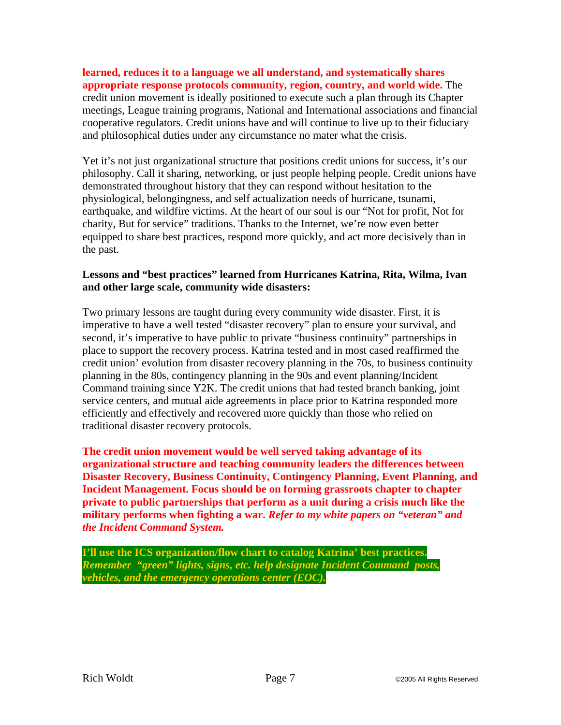**learned, reduces it to a language we all understand, and systematically shares appropriate response protocols community, region, country, and world wide.** The credit union movement is ideally positioned to execute such a plan through its Chapter meetings, League training programs, National and International associations and financial cooperative regulators. Credit unions have and will continue to live up to their fiduciary and philosophical duties under any circumstance no mater what the crisis.

Yet it's not just organizational structure that positions credit unions for success, it's our philosophy. Call it sharing, networking, or just people helping people. Credit unions have demonstrated throughout history that they can respond without hesitation to the physiological, belongingness, and self actualization needs of hurricane, tsunami, earthquake, and wildfire victims. At the heart of our soul is our "Not for profit, Not for charity, But for service" traditions. Thanks to the Internet, we're now even better equipped to share best practices, respond more quickly, and act more decisively than in the past.

### **Lessons and "best practices" learned from Hurricanes Katrina, Rita, Wilma, Ivan and other large scale, community wide disasters:**

Two primary lessons are taught during every community wide disaster. First, it is imperative to have a well tested "disaster recovery" plan to ensure your survival, and second, it's imperative to have public to private "business continuity" partnerships in place to support the recovery process. Katrina tested and in most cased reaffirmed the credit union' evolution from disaster recovery planning in the 70s, to business continuity planning in the 80s, contingency planning in the 90s and event planning/Incident Command training since Y2K. The credit unions that had tested branch banking, joint service centers, and mutual aide agreements in place prior to Katrina responded more efficiently and effectively and recovered more quickly than those who relied on traditional disaster recovery protocols.

**The credit union movement would be well served taking advantage of its organizational structure and teaching community leaders the differences between Disaster Recovery, Business Continuity, Contingency Planning, Event Planning, and Incident Management. Focus should be on forming grassroots chapter to chapter private to public partnerships that perform as a unit during a crisis much like the military performs when fighting a war.** *Refer to my white papers on "veteran" and the Incident Command System.* 

**I'll use the ICS organization/flow chart to catalog Katrina' best practices.**  *Remember "green" lights, signs, etc. help designate Incident Command posts, vehicles, and the emergency operations center (EOC).*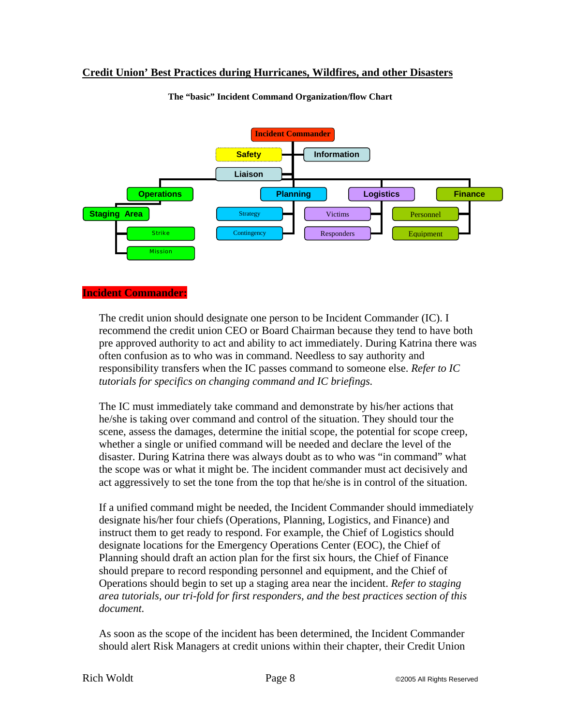### **Credit Union' Best Practices during Hurricanes, Wildfires, and other Disasters**



**The "basic" Incident Command Organization/flow Chart** 

#### **Incident Commander:**

The credit union should designate one person to be Incident Commander (IC). I recommend the credit union CEO or Board Chairman because they tend to have both pre approved authority to act and ability to act immediately. During Katrina there was often confusion as to who was in command. Needless to say authority and responsibility transfers when the IC passes command to someone else. *Refer to IC tutorials for specifics on changing command and IC briefings.* 

The IC must immediately take command and demonstrate by his/her actions that he/she is taking over command and control of the situation. They should tour the scene, assess the damages, determine the initial scope, the potential for scope creep, whether a single or unified command will be needed and declare the level of the disaster. During Katrina there was always doubt as to who was "in command" what the scope was or what it might be. The incident commander must act decisively and act aggressively to set the tone from the top that he/she is in control of the situation.

If a unified command might be needed, the Incident Commander should immediately designate his/her four chiefs (Operations, Planning, Logistics, and Finance) and instruct them to get ready to respond. For example, the Chief of Logistics should designate locations for the Emergency Operations Center (EOC), the Chief of Planning should draft an action plan for the first six hours, the Chief of Finance should prepare to record responding personnel and equipment, and the Chief of Operations should begin to set up a staging area near the incident. *Refer to staging area tutorials, our tri-fold for first responders, and the best practices section of this document.*

As soon as the scope of the incident has been determined, the Incident Commander should alert Risk Managers at credit unions within their chapter, their Credit Union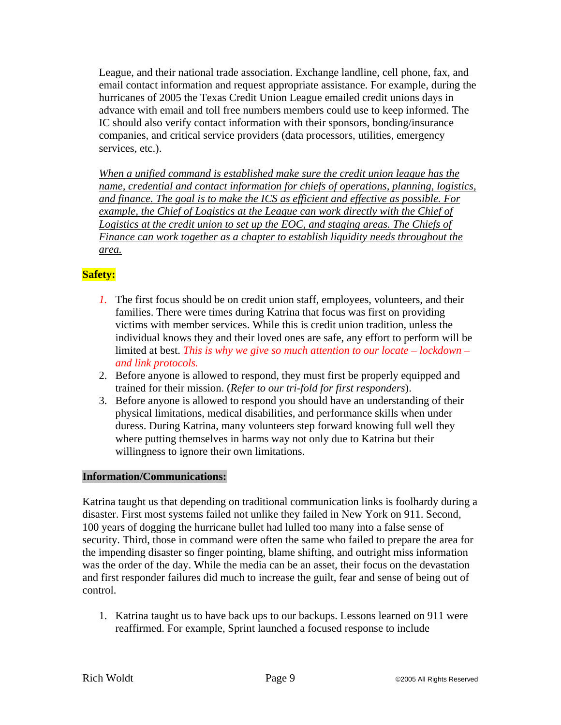League, and their national trade association. Exchange landline, cell phone, fax, and email contact information and request appropriate assistance. For example, during the hurricanes of 2005 the Texas Credit Union League emailed credit unions days in advance with email and toll free numbers members could use to keep informed. The IC should also verify contact information with their sponsors, bonding/insurance companies, and critical service providers (data processors, utilities, emergency services, etc.).

*When a unified command is established make sure the credit union league has the name, credential and contact information for chiefs of operations, planning, logistics, and finance. The goal is to make the ICS as efficient and effective as possible. For*  example, the Chief of Logistics at the League can work directly with the Chief of *Logistics at the credit union to set up the EOC, and staging areas. The Chiefs of Finance can work together as a chapter to establish liquidity needs throughout the area.* 

# **Safety:**

- *1.* The first focus should be on credit union staff, employees, volunteers, and their families. There were times during Katrina that focus was first on providing victims with member services. While this is credit union tradition, unless the individual knows they and their loved ones are safe, any effort to perform will be limited at best. *This is why we give so much attention to our locate – lockdown – and link protocols.*
- 2. Before anyone is allowed to respond, they must first be properly equipped and trained for their mission. (*Refer to our tri-fold for first responders*).
- 3. Before anyone is allowed to respond you should have an understanding of their physical limitations, medical disabilities, and performance skills when under duress. During Katrina, many volunteers step forward knowing full well they where putting themselves in harms way not only due to Katrina but their willingness to ignore their own limitations.

### **Information/Communications:**

Katrina taught us that depending on traditional communication links is foolhardy during a disaster. First most systems failed not unlike they failed in New York on 911. Second, 100 years of dogging the hurricane bullet had lulled too many into a false sense of security. Third, those in command were often the same who failed to prepare the area for the impending disaster so finger pointing, blame shifting, and outright miss information was the order of the day. While the media can be an asset, their focus on the devastation and first responder failures did much to increase the guilt, fear and sense of being out of control.

1. Katrina taught us to have back ups to our backups. Lessons learned on 911 were reaffirmed. For example, Sprint launched a focused response to include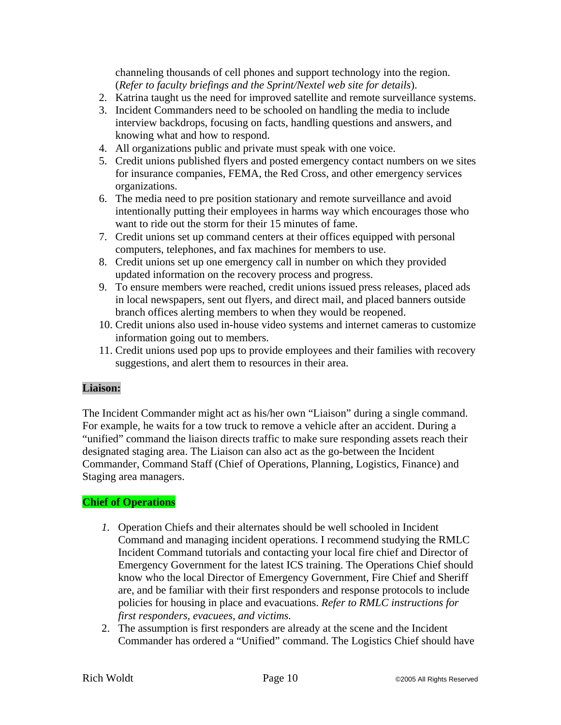channeling thousands of cell phones and support technology into the region. (*Refer to faculty briefings and the Sprint/Nextel web site for details*).

- 2. Katrina taught us the need for improved satellite and remote surveillance systems.
- 3. Incident Commanders need to be schooled on handling the media to include interview backdrops, focusing on facts, handling questions and answers, and knowing what and how to respond.
- 4. All organizations public and private must speak with one voice.
- 5. Credit unions published flyers and posted emergency contact numbers on we sites for insurance companies, FEMA, the Red Cross, and other emergency services organizations.
- 6. The media need to pre position stationary and remote surveillance and avoid intentionally putting their employees in harms way which encourages those who want to ride out the storm for their 15 minutes of fame.
- 7. Credit unions set up command centers at their offices equipped with personal computers, telephones, and fax machines for members to use.
- 8. Credit unions set up one emergency call in number on which they provided updated information on the recovery process and progress.
- 9. To ensure members were reached, credit unions issued press releases, placed ads in local newspapers, sent out flyers, and direct mail, and placed banners outside branch offices alerting members to when they would be reopened.
- 10. Credit unions also used in-house video systems and internet cameras to customize information going out to members.
- 11. Credit unions used pop ups to provide employees and their families with recovery suggestions, and alert them to resources in their area.

### **Liaison:**

The Incident Commander might act as his/her own "Liaison" during a single command. For example, he waits for a tow truck to remove a vehicle after an accident. During a "unified" command the liaison directs traffic to make sure responding assets reach their designated staging area. The Liaison can also act as the go-between the Incident Commander, Command Staff (Chief of Operations, Planning, Logistics, Finance) and Staging area managers.

### **Chief of Operations**

- *1.* Operation Chiefs and their alternates should be well schooled in Incident Command and managing incident operations. I recommend studying the RMLC Incident Command tutorials and contacting your local fire chief and Director of Emergency Government for the latest ICS training. The Operations Chief should know who the local Director of Emergency Government, Fire Chief and Sheriff are, and be familiar with their first responders and response protocols to include policies for housing in place and evacuations. *Refer to RMLC instructions for first responders, evacuees, and victims.*
- 2. The assumption is first responders are already at the scene and the Incident Commander has ordered a "Unified" command. The Logistics Chief should have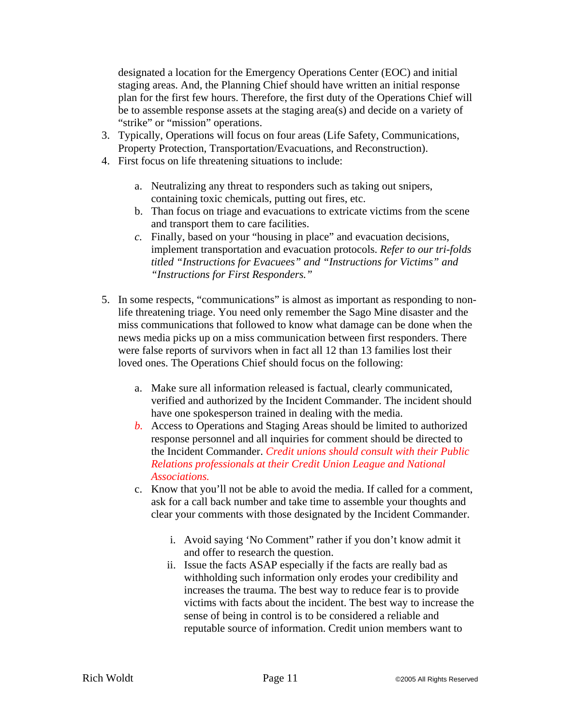designated a location for the Emergency Operations Center (EOC) and initial staging areas. And, the Planning Chief should have written an initial response plan for the first few hours. Therefore, the first duty of the Operations Chief will be to assemble response assets at the staging area(s) and decide on a variety of "strike" or "mission" operations.

- 3. Typically, Operations will focus on four areas (Life Safety, Communications, Property Protection, Transportation/Evacuations, and Reconstruction).
- 4. First focus on life threatening situations to include:
	- a. Neutralizing any threat to responders such as taking out snipers, containing toxic chemicals, putting out fires, etc.
	- b. Than focus on triage and evacuations to extricate victims from the scene and transport them to care facilities.
	- *c.* Finally, based on your "housing in place" and evacuation decisions, implement transportation and evacuation protocols. *Refer to our tri-folds titled "Instructions for Evacuees" and "Instructions for Victims" and "Instructions for First Responders."*
- 5. In some respects, "communications" is almost as important as responding to nonlife threatening triage. You need only remember the Sago Mine disaster and the miss communications that followed to know what damage can be done when the news media picks up on a miss communication between first responders. There were false reports of survivors when in fact all 12 than 13 families lost their loved ones. The Operations Chief should focus on the following:
	- a. Make sure all information released is factual, clearly communicated, verified and authorized by the Incident Commander. The incident should have one spokesperson trained in dealing with the media.
	- *b.* Access to Operations and Staging Areas should be limited to authorized response personnel and all inquiries for comment should be directed to the Incident Commander. *Credit unions should consult with their Public Relations professionals at their Credit Union League and National Associations.*
	- c. Know that you'll not be able to avoid the media. If called for a comment, ask for a call back number and take time to assemble your thoughts and clear your comments with those designated by the Incident Commander.
		- i. Avoid saying 'No Comment" rather if you don't know admit it and offer to research the question.
		- ii. Issue the facts ASAP especially if the facts are really bad as withholding such information only erodes your credibility and increases the trauma. The best way to reduce fear is to provide victims with facts about the incident. The best way to increase the sense of being in control is to be considered a reliable and reputable source of information. Credit union members want to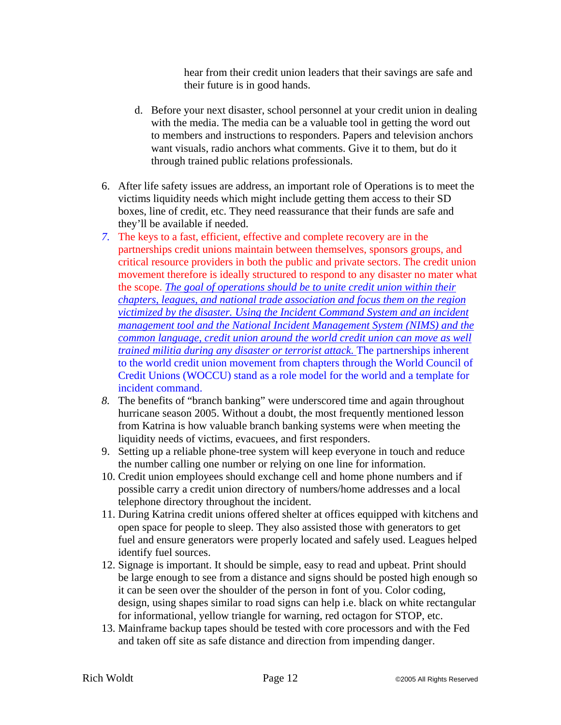hear from their credit union leaders that their savings are safe and their future is in good hands.

- d. Before your next disaster, school personnel at your credit union in dealing with the media. The media can be a valuable tool in getting the word out to members and instructions to responders. Papers and television anchors want visuals, radio anchors what comments. Give it to them, but do it through trained public relations professionals.
- 6. After life safety issues are address, an important role of Operations is to meet the victims liquidity needs which might include getting them access to their SD boxes, line of credit, etc. They need reassurance that their funds are safe and they'll be available if needed.
- *7.* The keys to a fast, efficient, effective and complete recovery are in the partnerships credit unions maintain between themselves, sponsors groups, and critical resource providers in both the public and private sectors. The credit union movement therefore is ideally structured to respond to any disaster no mater what the scope. *The goal of operations should be to unite credit union within their chapters, leagues, and national trade association and focus them on the region victimized by the disaster. Using the Incident Command System and an incident management tool and the National Incident Management System (NIMS) and the common language, credit union around the world credit union can move as well trained militia during any disaster or terrorist attack.* The partnerships inherent to the world credit union movement from chapters through the World Council of Credit Unions (WOCCU) stand as a role model for the world and a template for incident command.
- *8.* The benefits of "branch banking" were underscored time and again throughout hurricane season 2005. Without a doubt, the most frequently mentioned lesson from Katrina is how valuable branch banking systems were when meeting the liquidity needs of victims, evacuees, and first responders.
- 9. Setting up a reliable phone-tree system will keep everyone in touch and reduce the number calling one number or relying on one line for information.
- 10. Credit union employees should exchange cell and home phone numbers and if possible carry a credit union directory of numbers/home addresses and a local telephone directory throughout the incident.
- 11. During Katrina credit unions offered shelter at offices equipped with kitchens and open space for people to sleep. They also assisted those with generators to get fuel and ensure generators were properly located and safely used. Leagues helped identify fuel sources.
- 12. Signage is important. It should be simple, easy to read and upbeat. Print should be large enough to see from a distance and signs should be posted high enough so it can be seen over the shoulder of the person in font of you. Color coding, design, using shapes similar to road signs can help i.e. black on white rectangular for informational, yellow triangle for warning, red octagon for STOP, etc.
- 13. Mainframe backup tapes should be tested with core processors and with the Fed and taken off site as safe distance and direction from impending danger.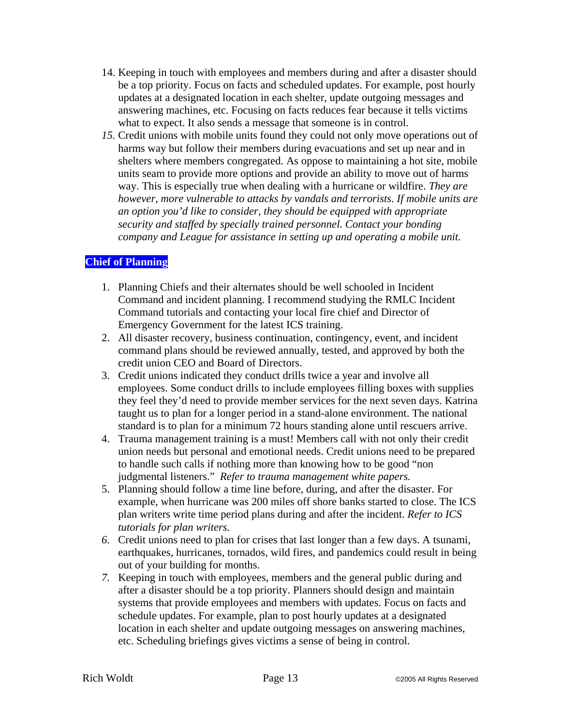- 14. Keeping in touch with employees and members during and after a disaster should be a top priority. Focus on facts and scheduled updates. For example, post hourly updates at a designated location in each shelter, update outgoing messages and answering machines, etc. Focusing on facts reduces fear because it tells victims what to expect. It also sends a message that someone is in control.
- *15.* Credit unions with mobile units found they could not only move operations out of harms way but follow their members during evacuations and set up near and in shelters where members congregated. As oppose to maintaining a hot site, mobile units seam to provide more options and provide an ability to move out of harms way. This is especially true when dealing with a hurricane or wildfire. *They are however, more vulnerable to attacks by vandals and terrorists. If mobile units are an option you'd like to consider, they should be equipped with appropriate security and staffed by specially trained personnel. Contact your bonding company and League for assistance in setting up and operating a mobile unit.*

### **Chief of Planning**

- 1. Planning Chiefs and their alternates should be well schooled in Incident Command and incident planning. I recommend studying the RMLC Incident Command tutorials and contacting your local fire chief and Director of Emergency Government for the latest ICS training.
- 2. All disaster recovery, business continuation, contingency, event, and incident command plans should be reviewed annually, tested, and approved by both the credit union CEO and Board of Directors.
- 3. Credit unions indicated they conduct drills twice a year and involve all employees. Some conduct drills to include employees filling boxes with supplies they feel they'd need to provide member services for the next seven days. Katrina taught us to plan for a longer period in a stand-alone environment. The national standard is to plan for a minimum 72 hours standing alone until rescuers arrive.
- 4. Trauma management training is a must! Members call with not only their credit union needs but personal and emotional needs. Credit unions need to be prepared to handle such calls if nothing more than knowing how to be good "non judgmental listeners." *Refer to trauma management white papers.*
- 5. Planning should follow a time line before, during, and after the disaster. For example, when hurricane was 200 miles off shore banks started to close. The ICS plan writers write time period plans during and after the incident. *Refer to ICS tutorials for plan writers.*
- *6.* Credit unions need to plan for crises that last longer than a few days. A tsunami, earthquakes, hurricanes, tornados, wild fires, and pandemics could result in being out of your building for months.
- *7.* Keeping in touch with employees, members and the general public during and after a disaster should be a top priority. Planners should design and maintain systems that provide employees and members with updates. Focus on facts and schedule updates. For example, plan to post hourly updates at a designated location in each shelter and update outgoing messages on answering machines, etc. Scheduling briefings gives victims a sense of being in control.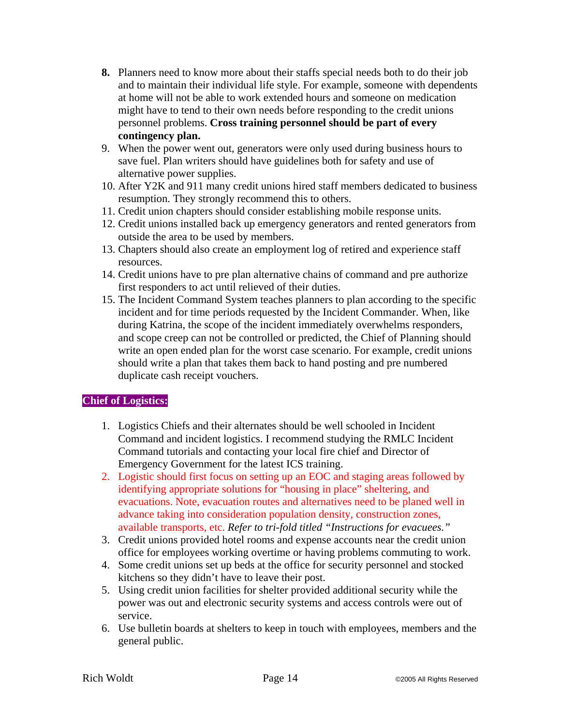- **8.** Planners need to know more about their staffs special needs both to do their job and to maintain their individual life style. For example, someone with dependents at home will not be able to work extended hours and someone on medication might have to tend to their own needs before responding to the credit unions personnel problems. **Cross training personnel should be part of every contingency plan.**
- 9. When the power went out, generators were only used during business hours to save fuel. Plan writers should have guidelines both for safety and use of alternative power supplies.
- 10. After Y2K and 911 many credit unions hired staff members dedicated to business resumption. They strongly recommend this to others.
- 11. Credit union chapters should consider establishing mobile response units.
- 12. Credit unions installed back up emergency generators and rented generators from outside the area to be used by members.
- 13. Chapters should also create an employment log of retired and experience staff resources.
- 14. Credit unions have to pre plan alternative chains of command and pre authorize first responders to act until relieved of their duties.
- 15. The Incident Command System teaches planners to plan according to the specific incident and for time periods requested by the Incident Commander. When, like during Katrina, the scope of the incident immediately overwhelms responders, and scope creep can not be controlled or predicted, the Chief of Planning should write an open ended plan for the worst case scenario. For example, credit unions should write a plan that takes them back to hand posting and pre numbered duplicate cash receipt vouchers.

# **Chief of Logistics:**

- 1. Logistics Chiefs and their alternates should be well schooled in Incident Command and incident logistics. I recommend studying the RMLC Incident Command tutorials and contacting your local fire chief and Director of Emergency Government for the latest ICS training.
- 2. Logistic should first focus on setting up an EOC and staging areas followed by identifying appropriate solutions for "housing in place" sheltering, and evacuations. Note, evacuation routes and alternatives need to be planed well in advance taking into consideration population density, construction zones, available transports, etc. *Refer to tri-fold titled "Instructions for evacuees."*
- 3. Credit unions provided hotel rooms and expense accounts near the credit union office for employees working overtime or having problems commuting to work.
- 4. Some credit unions set up beds at the office for security personnel and stocked kitchens so they didn't have to leave their post.
- 5. Using credit union facilities for shelter provided additional security while the power was out and electronic security systems and access controls were out of service.
- 6. Use bulletin boards at shelters to keep in touch with employees, members and the general public.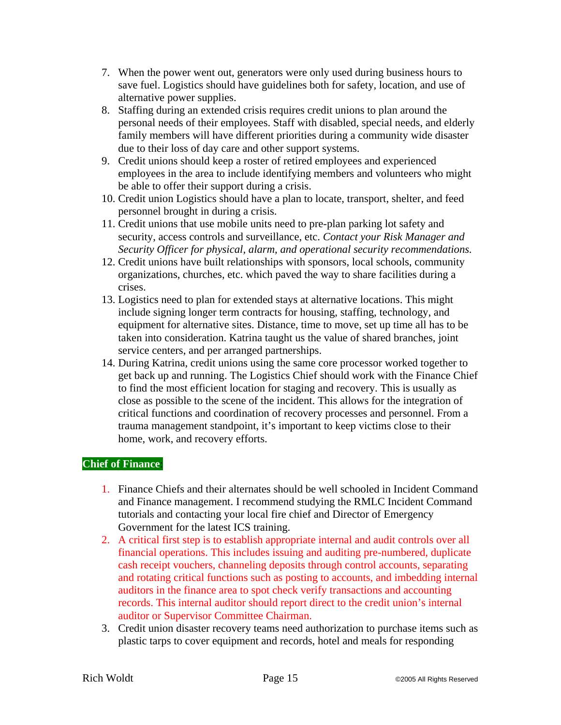- 7. When the power went out, generators were only used during business hours to save fuel. Logistics should have guidelines both for safety, location, and use of alternative power supplies.
- 8. Staffing during an extended crisis requires credit unions to plan around the personal needs of their employees. Staff with disabled, special needs, and elderly family members will have different priorities during a community wide disaster due to their loss of day care and other support systems.
- 9. Credit unions should keep a roster of retired employees and experienced employees in the area to include identifying members and volunteers who might be able to offer their support during a crisis.
- 10. Credit union Logistics should have a plan to locate, transport, shelter, and feed personnel brought in during a crisis.
- 11. Credit unions that use mobile units need to pre-plan parking lot safety and security, access controls and surveillance, etc. *Contact your Risk Manager and Security Officer for physical, alarm, and operational security recommendations.*
- 12. Credit unions have built relationships with sponsors, local schools, community organizations, churches, etc. which paved the way to share facilities during a crises.
- 13. Logistics need to plan for extended stays at alternative locations. This might include signing longer term contracts for housing, staffing, technology, and equipment for alternative sites. Distance, time to move, set up time all has to be taken into consideration. Katrina taught us the value of shared branches, joint service centers, and per arranged partnerships.
- 14. During Katrina, credit unions using the same core processor worked together to get back up and running. The Logistics Chief should work with the Finance Chief to find the most efficient location for staging and recovery. This is usually as close as possible to the scene of the incident. This allows for the integration of critical functions and coordination of recovery processes and personnel. From a trauma management standpoint, it's important to keep victims close to their home, work, and recovery efforts.

### **Chief of Finance**:

- 1. Finance Chiefs and their alternates should be well schooled in Incident Command and Finance management. I recommend studying the RMLC Incident Command tutorials and contacting your local fire chief and Director of Emergency Government for the latest ICS training.
- 2. A critical first step is to establish appropriate internal and audit controls over all financial operations. This includes issuing and auditing pre-numbered, duplicate cash receipt vouchers, channeling deposits through control accounts, separating and rotating critical functions such as posting to accounts, and imbedding internal auditors in the finance area to spot check verify transactions and accounting records. This internal auditor should report direct to the credit union's internal auditor or Supervisor Committee Chairman.
- 3. Credit union disaster recovery teams need authorization to purchase items such as plastic tarps to cover equipment and records, hotel and meals for responding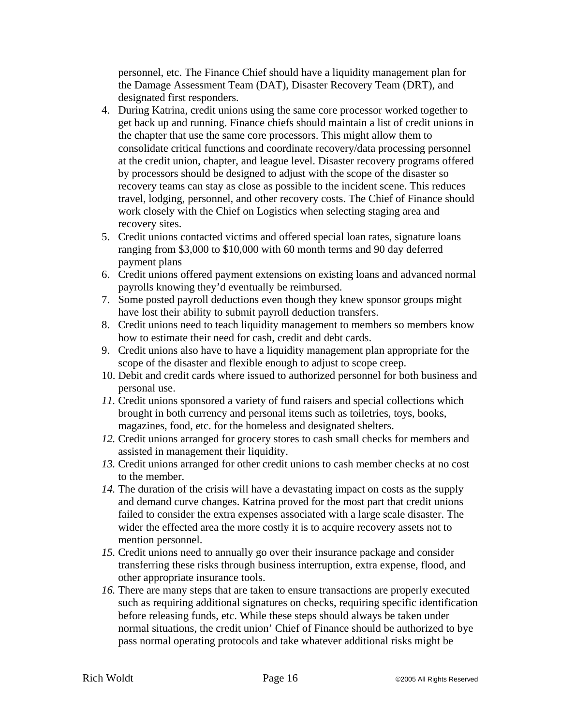personnel, etc. The Finance Chief should have a liquidity management plan for the Damage Assessment Team (DAT), Disaster Recovery Team (DRT), and designated first responders.

- 4. During Katrina, credit unions using the same core processor worked together to get back up and running. Finance chiefs should maintain a list of credit unions in the chapter that use the same core processors. This might allow them to consolidate critical functions and coordinate recovery/data processing personnel at the credit union, chapter, and league level. Disaster recovery programs offered by processors should be designed to adjust with the scope of the disaster so recovery teams can stay as close as possible to the incident scene. This reduces travel, lodging, personnel, and other recovery costs. The Chief of Finance should work closely with the Chief on Logistics when selecting staging area and recovery sites.
- 5. Credit unions contacted victims and offered special loan rates, signature loans ranging from \$3,000 to \$10,000 with 60 month terms and 90 day deferred payment plans
- 6. Credit unions offered payment extensions on existing loans and advanced normal payrolls knowing they'd eventually be reimbursed.
- 7. Some posted payroll deductions even though they knew sponsor groups might have lost their ability to submit payroll deduction transfers.
- 8. Credit unions need to teach liquidity management to members so members know how to estimate their need for cash, credit and debt cards.
- 9. Credit unions also have to have a liquidity management plan appropriate for the scope of the disaster and flexible enough to adjust to scope creep.
- 10. Debit and credit cards where issued to authorized personnel for both business and personal use.
- *11.* Credit unions sponsored a variety of fund raisers and special collections which brought in both currency and personal items such as toiletries, toys, books, magazines, food, etc. for the homeless and designated shelters.
- *12.* Credit unions arranged for grocery stores to cash small checks for members and assisted in management their liquidity.
- *13.* Credit unions arranged for other credit unions to cash member checks at no cost to the member.
- *14.* The duration of the crisis will have a devastating impact on costs as the supply and demand curve changes. Katrina proved for the most part that credit unions failed to consider the extra expenses associated with a large scale disaster. The wider the effected area the more costly it is to acquire recovery assets not to mention personnel.
- *15.* Credit unions need to annually go over their insurance package and consider transferring these risks through business interruption, extra expense, flood, and other appropriate insurance tools.
- *16.* There are many steps that are taken to ensure transactions are properly executed such as requiring additional signatures on checks, requiring specific identification before releasing funds, etc. While these steps should always be taken under normal situations, the credit union' Chief of Finance should be authorized to bye pass normal operating protocols and take whatever additional risks might be